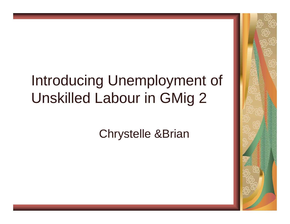# Introducing Unemployment of Unskilled Labour in GMig 2

Chrystelle &Brian

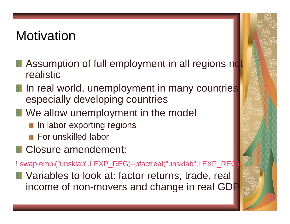#### **Motivation**

- **Assumption of full employment in all regions not** realistic
- In real world, unemployment in many countries especially developing countries
- We allow unemployment in the model
	- **In labor exporting regions**
	- **For unskilled labor**
- **Closure amendement:**

! swap empl("unsklab",LEXP\_REG)=pfactreal("unsklab",LEXP\_REQ

**N** Variables to look at: factor returns, trade, real income of non-movers and change in real GD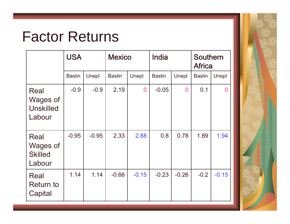## Factor Returns

|                                                | <b>USA</b>    |         | <b>Mexico</b> |                | India         |                | <b>Southern</b><br><b>Africa</b> |                |
|------------------------------------------------|---------------|---------|---------------|----------------|---------------|----------------|----------------------------------|----------------|
|                                                | <b>Baslin</b> | Unepl   | <b>Baslin</b> | Unepl          | <b>Baslin</b> | Unepl          | <b>Baslin</b>                    | Unepl          |
| Real<br>Wages of<br><b>Unskilled</b><br>Labour | $-0.9$        | $-0.9$  | 2.19          | $\overline{0}$ | $-0.05$       | $\overline{0}$ | 0.1                              | $\overline{0}$ |
| Real<br>Wages of<br><b>Skilled</b><br>Labour   | $-0.95$       | $-0.95$ | 2.33          | 2.88           | 0.8           | 0.78           | 1.89                             | 1.94           |
| Real<br><b>Return to</b><br>Capital            | 1.14          | 1.14    | $-0.66$       | $-0.15$        | $-0.23$       | $-0.26$        | $-0.2$                           | $-0.15$        |

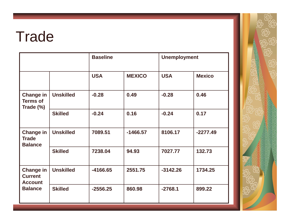## **Trade**

|                                                                        |                  | <b>Baseline</b> |               | <b>Unemployment</b> |               |
|------------------------------------------------------------------------|------------------|-----------------|---------------|---------------------|---------------|
|                                                                        |                  | <b>USA</b>      | <b>MEXICO</b> | <b>USA</b>          | <b>Mexico</b> |
| <b>Change in</b><br><b>Terms of</b><br>Trade (%)                       | <b>Unskilled</b> | $-0.28$         | 0.49          | $-0.28$             | 0.46          |
|                                                                        | <b>Skilled</b>   | $-0.24$         | 0.16          | $-0.24$             | 0.17          |
| <b>Change in</b><br><b>Trade</b><br><b>Balance</b>                     | <b>Unskilled</b> | 7089.51         | $-1466.57$    | 8106.17             | $-2277.49$    |
|                                                                        | <b>Skilled</b>   | 7238.04         | 94.93         | 7027.77             | 132.73        |
| <b>Change in</b><br><b>Current</b><br><b>Account</b><br><b>Balance</b> | <b>Unskilled</b> | $-4166.65$      | 2551.75       | $-3142.26$          | 1734.25       |
|                                                                        | <b>Skilled</b>   | $-2556.25$      | 860.98        | $-2768.1$           | 899.22        |

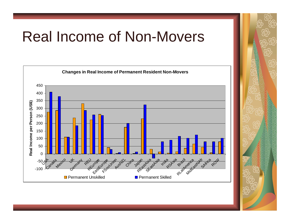### Real Income of Non-Movers



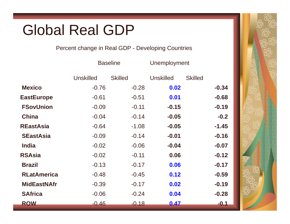## Global Real GDP

#### Percent change in Real GDP - Developing Countries

|                    |                  | <b>Baseline</b> | Unemployment     |                |
|--------------------|------------------|-----------------|------------------|----------------|
|                    | <b>Unskilled</b> | <b>Skilled</b>  | <b>Unskilled</b> | <b>Skilled</b> |
| <b>Mexico</b>      | $-0.76$          | $-0.28$         | 0.02             | $-0.34$        |
| <b>EastEurope</b>  | $-0.61$          | $-0.51$         | 0.01             | $-0.68$        |
| <b>FSovUnion</b>   | $-0.09$          | $-0.11$         | $-0.15$          | $-0.19$        |
| <b>China</b>       | $-0.04$          | $-0.14$         | $-0.05$          | $-0.2$         |
| <b>REastAsia</b>   | $-0.64$          | $-1.08$         | $-0.05$          | $-1.45$        |
| <b>SEastAsia</b>   | $-0.09$          | $-0.14$         | $-0.01$          | $-0.16$        |
| <b>India</b>       | $-0.02$          | $-0.06$         | $-0.04$          | $-0.07$        |
| <b>RSAsia</b>      | $-0.02$          | $-0.11$         | 0.06             | $-0.12$        |
| <b>Brazil</b>      | $-0.13$          | $-0.17$         | 0.06             | $-0.17$        |
| <b>RLatAmerica</b> | $-0.48$          | $-0.45$         | 0.12             | $-0.59$        |
| <b>MidEastNAfr</b> | $-0.39$          | $-0.17$         | 0.02             | $-0.19$        |
| <b>SAfrica</b>     | $-0.06$          | $-0.24$         | 0.04             | $-0.28$        |
| <b>ROW</b>         | $-0.46$          | $-0.18$         | 0.47             | $-0.1$         |